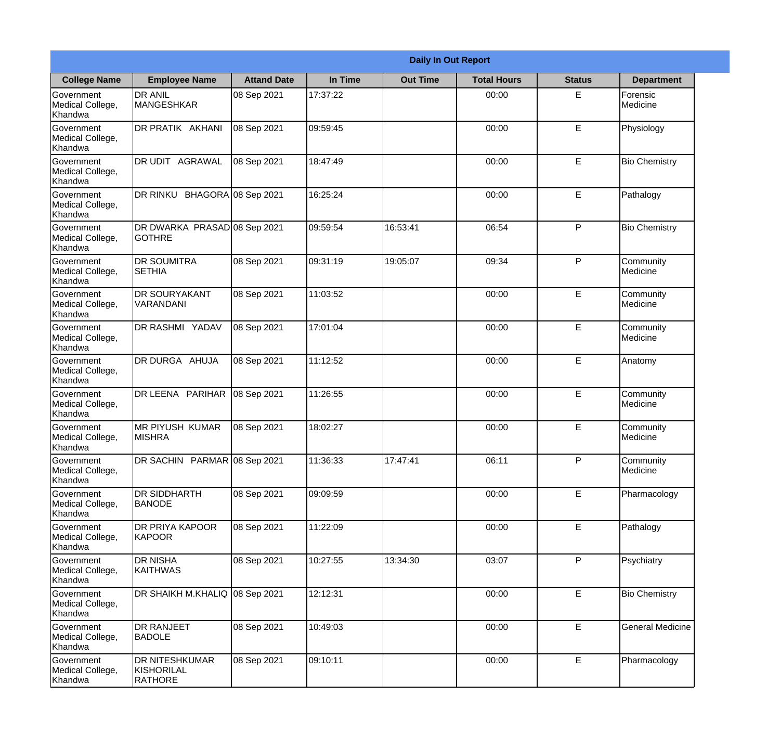|                                                  | <b>Daily In Out Report</b>                            |                     |          |                 |                    |               |                         |  |
|--------------------------------------------------|-------------------------------------------------------|---------------------|----------|-----------------|--------------------|---------------|-------------------------|--|
| <b>College Name</b>                              | <b>Employee Name</b>                                  | <b>Attand Date</b>  | In Time  | <b>Out Time</b> | <b>Total Hours</b> | <b>Status</b> | <b>Department</b>       |  |
| Government<br>Medical College,<br>Khandwa        | <b>DR ANIL</b><br><b>MANGESHKAR</b>                   | 08 Sep 2021         | 17:37:22 |                 | 00:00              | E             | Forensic<br>Medicine    |  |
| Government<br>Medical College,<br>Khandwa        | DR PRATIK AKHANI                                      | 08 Sep 2021         | 09:59:45 |                 | 00:00              | E             | Physiology              |  |
| <b>Government</b><br>Medical College,<br>Khandwa | DR UDIT AGRAWAL                                       | 08 Sep 2021         | 18:47:49 |                 | 00:00              | E             | <b>Bio Chemistry</b>    |  |
| Government<br>Medical College,<br>Khandwa        | DR RINKU                                              | BHAGORA 08 Sep 2021 | 16:25:24 |                 | 00:00              | E             | Pathalogy               |  |
| <b>Government</b><br>Medical College,<br>Khandwa | DR DWARKA PRASAD 08 Sep 2021<br><b>GOTHRE</b>         |                     | 09:59:54 | 16:53:41        | 06:54              | P             | <b>Bio Chemistry</b>    |  |
| Government<br>Medical College,<br>Khandwa        | <b>DR SOUMITRA</b><br><b>SETHIA</b>                   | 08 Sep 2021         | 09:31:19 | 19:05:07        | 09:34              | P             | Community<br>Medicine   |  |
| <b>Government</b><br>Medical College,<br>Khandwa | <b>DR SOURYAKANT</b><br>VARANDANI                     | 08 Sep 2021         | 11:03:52 |                 | 00:00              | E             | Community<br>Medicine   |  |
| Government<br>Medical College,<br>Khandwa        | <b>DR RASHMI YADAV</b>                                | 08 Sep 2021         | 17:01:04 |                 | 00:00              | E             | Community<br>Medicine   |  |
| Government<br>Medical College,<br>Khandwa        | DR DURGA AHUJA                                        | 08 Sep 2021         | 11:12:52 |                 | 00:00              | E             | Anatomy                 |  |
| Government<br>Medical College,<br>Khandwa        | DR LEENA PARIHAR                                      | 08 Sep 2021         | 11:26:55 |                 | 00:00              | E             | Community<br>Medicine   |  |
| Government<br>Medical College,<br>Khandwa        | <b>MR PIYUSH KUMAR</b><br><b>MISHRA</b>               | 08 Sep 2021         | 18:02:27 |                 | 00:00              | E             | Community<br>Medicine   |  |
| Government<br>Medical College,<br>Khandwa        | DR SACHIN PARMAR 08 Sep 2021                          |                     | 11:36:33 | 17:47:41        | 06:11              | P             | Community<br>Medicine   |  |
| Government<br>Medical College,<br>Khandwa        | <b>DR SIDDHARTH</b><br><b>BANODE</b>                  | 08 Sep 2021         | 09:09:59 |                 | 00:00              | E             | Pharmacology            |  |
| Government<br>Medical College,<br>Khandwa        | DR PRIYA KAPOOR<br>KAPOOR                             | 08 Sep 2021         | 11:22:09 |                 | 00:00              | E             | Pathalogy               |  |
| <b>Government</b><br>Medical College,<br>Khandwa | <b>DR NISHA</b><br><b>KAITHWAS</b>                    | 08 Sep 2021         | 10:27:55 | 13:34:30        | 03:07              | P             | Psychiatry              |  |
| Government<br>Medical College,<br>Khandwa        | DR SHAIKH M.KHALIQ                                    | 08 Sep 2021         | 12:12:31 |                 | 00:00              | E             | <b>Bio Chemistry</b>    |  |
| Government<br>Medical College,<br>Khandwa        | <b>DR RANJEET</b><br><b>BADOLE</b>                    | 08 Sep 2021         | 10:49:03 |                 | 00:00              | E             | <b>General Medicine</b> |  |
| Government<br>Medical College,<br>Khandwa        | <b>DR NITESHKUMAR</b><br>KISHORILAL<br><b>RATHORE</b> | 08 Sep 2021         | 09:10:11 |                 | 00:00              | E             | Pharmacology            |  |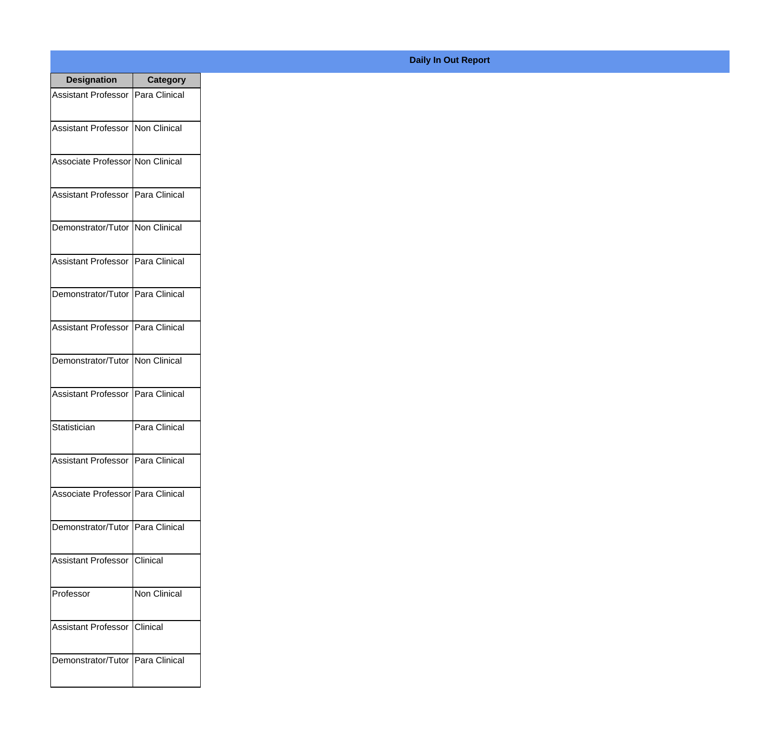| <b>Designation</b>                  | <b>Category</b>      |
|-------------------------------------|----------------------|
| Assistant Professor   Para Clinical |                      |
| Assistant Professor   Non Clinical  |                      |
| Associate Professor Non Clinical    |                      |
| <b>Assistant Professor</b>          | Para Clinical        |
| Demonstrator/Tutor                  | Non Clinical         |
| <b>Assistant Professor</b>          | <b>Para Clinical</b> |
| Demonstrator/Tutor   Para Clinical  |                      |
| <b>Assistant Professor</b>          | Para Clinical        |
| Demonstrator/Tutor                  | Non Clinical         |
| <b>Assistant Professor</b>          | Para Clinical        |
| Statistician                        | Para Clinical        |
| Assistant Professor   Para Clinical |                      |
| Associate Professor   Para Clinical |                      |
| Demonstrator/Tutor   Para Clinical  |                      |
| <b>Assistant Professor</b>          | Clinical             |
| Professor                           | Non Clinical         |
| <b>Assistant Professor</b>          | Clinical             |
| Demonstrator/Tutor   Para Clinical  |                      |

## **Daily In Out Report**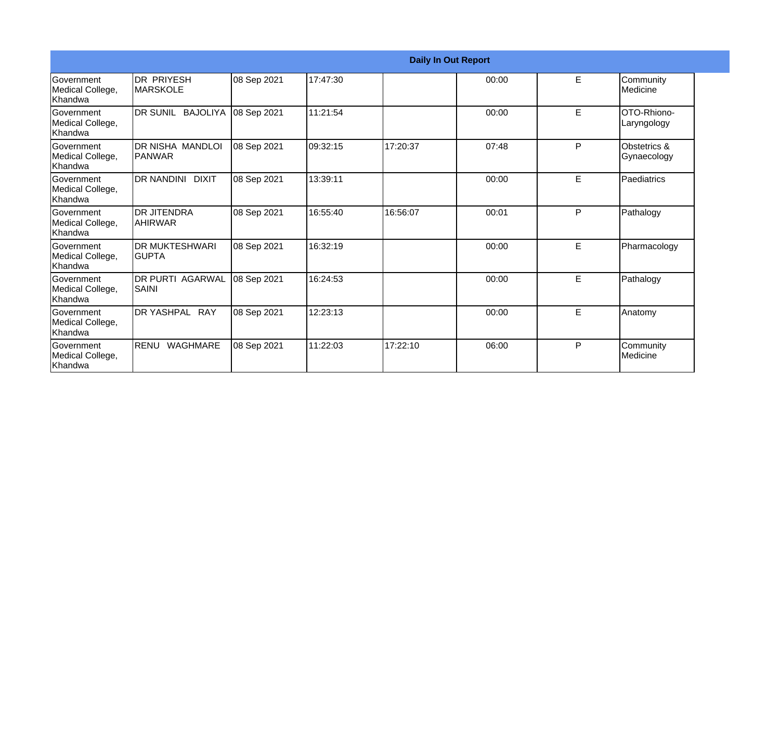|                                                  |                                          |             |          |          | <b>Daily In Out Report</b> |   |                                        |
|--------------------------------------------------|------------------------------------------|-------------|----------|----------|----------------------------|---|----------------------------------------|
| Government<br>Medical College,<br>Khandwa        | <b>DR PRIYESH</b><br><b>IMARSKOLE</b>    | 08 Sep 2021 | 17:47:30 |          | 00:00                      | E | Community<br>Medicine                  |
| <b>Government</b><br>Medical College,<br>Khandwa | DR SUNIL BAJOLIYA                        | 08 Sep 2021 | 11:21:54 |          | 00:00                      | E | OTO-Rhiono-<br>Laryngology             |
| <b>Government</b><br>Medical College,<br>Khandwa | <b>DR NISHA MANDLOI</b><br><b>PANWAR</b> | 08 Sep 2021 | 09:32:15 | 17:20:37 | 07:48                      | P | <b>Obstetrics &amp;</b><br>Gynaecology |
| Government<br>Medical College,<br>Khandwa        | <b>DR NANDINI</b><br><b>DIXIT</b>        | 08 Sep 2021 | 13:39:11 |          | 00:00                      | E | Paediatrics                            |
| <b>Government</b><br>Medical College,<br>Khandwa | <b>DR JITENDRA</b><br>IAHIRWAR           | 08 Sep 2021 | 16:55:40 | 16:56:07 | 00:01                      | P | Pathalogy                              |
| Government<br>Medical College,<br>Khandwa        | <b>DR MUKTESHWARI</b><br><b>GUPTA</b>    | 08 Sep 2021 | 16:32:19 |          | 00:00                      | E | Pharmacology                           |
| Government<br>Medical College,<br>Khandwa        | DR PURTI AGARWAL<br>SAINI                | 08 Sep 2021 | 16:24:53 |          | 00:00                      | E | Pathalogy                              |
| Government<br>Medical College,<br>Khandwa        | DR YASHPAL RAY                           | 08 Sep 2021 | 12:23:13 |          | 00:00                      | E | Anatomy                                |
| Government<br>Medical College,<br>Khandwa        | RENU<br>WAGHMARE                         | 08 Sep 2021 | 11:22:03 | 17:22:10 | 06:00                      | P | Community<br>Medicine                  |